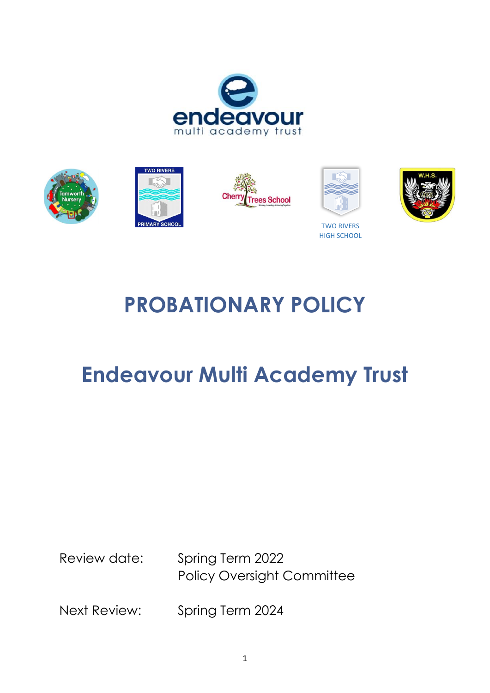





TWO RIVERS HIGH SCHOOL

# **PROBATIONARY POLICY**

## **Endeavour Multi Academy Trust**

Review date: Spring Term 2022 Policy Oversight Committee

Next Review: Spring Term 2024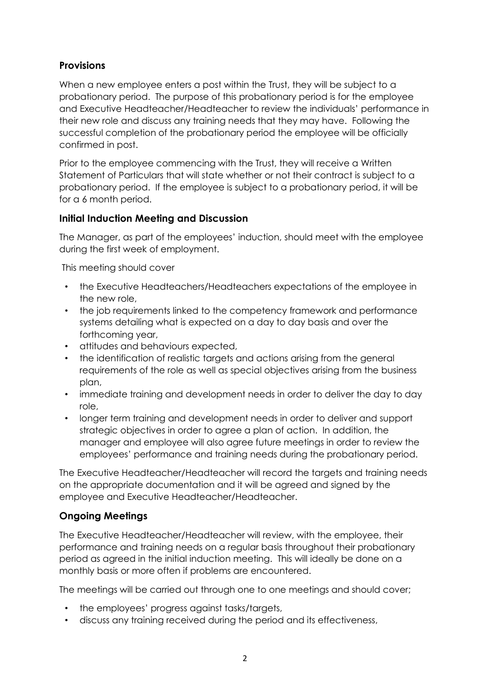## **Provisions**

When a new employee enters a post within the Trust, they will be subject to a probationary period. The purpose of this probationary period is for the employee and Executive Headteacher/Headteacher to review the individuals' performance in their new role and discuss any training needs that they may have. Following the successful completion of the probationary period the employee will be officially confirmed in post.

Prior to the employee commencing with the Trust, they will receive a Written Statement of Particulars that will state whether or not their contract is subject to a probationary period. If the employee is subject to a probationary period, it will be for a 6 month period.

## **Initial Induction Meeting and Discussion**

The Manager, as part of the employees' induction, should meet with the employee during the first week of employment.

This meeting should cover

- the Executive Headteachers/Headteachers expectations of the employee in the new role,
- the job requirements linked to the competency framework and performance systems detailing what is expected on a day to day basis and over the forthcoming year,
- attitudes and behaviours expected,
- the identification of realistic targets and actions arising from the general requirements of the role as well as special objectives arising from the business plan,
- immediate training and development needs in order to deliver the day to day role,
- longer term training and development needs in order to deliver and support strategic objectives in order to agree a plan of action. In addition, the manager and employee will also agree future meetings in order to review the employees' performance and training needs during the probationary period.

The Executive Headteacher/Headteacher will record the targets and training needs on the appropriate documentation and it will be agreed and signed by the employee and Executive Headteacher/Headteacher.

## **Ongoing Meetings**

The Executive Headteacher/Headteacher will review, with the employee, their performance and training needs on a regular basis throughout their probationary period as agreed in the initial induction meeting. This will ideally be done on a monthly basis or more often if problems are encountered.

The meetings will be carried out through one to one meetings and should cover;

- the employees' progress against tasks/targets,
- discuss any training received during the period and its effectiveness,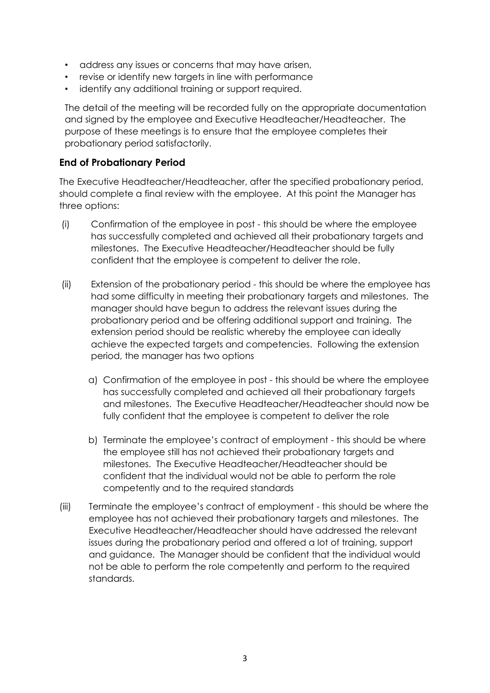- address any issues or concerns that may have arisen,
- revise or identify new targets in line with performance
- identify any additional training or support required.

The detail of the meeting will be recorded fully on the appropriate documentation and signed by the employee and Executive Headteacher/Headteacher. The purpose of these meetings is to ensure that the employee completes their probationary period satisfactorily.

#### **End of Probationary Period**

The Executive Headteacher/Headteacher, after the specified probationary period, should complete a final review with the employee. At this point the Manager has three options:

- (i) Confirmation of the employee in post this should be where the employee has successfully completed and achieved all their probationary targets and milestones. The Executive Headteacher/Headteacher should be fully confident that the employee is competent to deliver the role.
- (ii) Extension of the probationary period this should be where the employee has had some difficulty in meeting their probationary targets and milestones. The manager should have begun to address the relevant issues during the probationary period and be offering additional support and training. The extension period should be realistic whereby the employee can ideally achieve the expected targets and competencies. Following the extension period, the manager has two options
	- a) Confirmation of the employee in post this should be where the employee has successfully completed and achieved all their probationary targets and milestones. The Executive Headteacher/Headteacher should now be fully confident that the employee is competent to deliver the role
	- b) Terminate the employee's contract of employment this should be where the employee still has not achieved their probationary targets and milestones. The Executive Headteacher/Headteacher should be confident that the individual would not be able to perform the role competently and to the required standards
- (iii) Terminate the employee's contract of employment this should be where the employee has not achieved their probationary targets and milestones. The Executive Headteacher/Headteacher should have addressed the relevant issues during the probationary period and offered a lot of training, support and guidance. The Manager should be confident that the individual would not be able to perform the role competently and perform to the required standards.